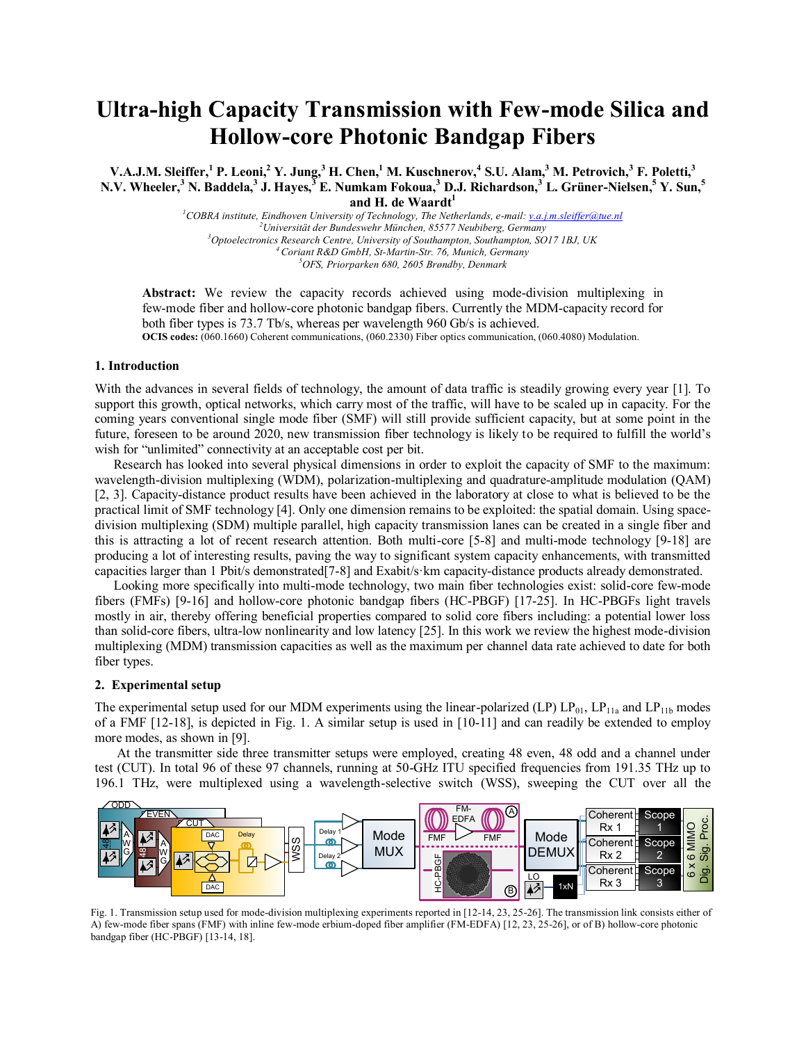# **Ultra-high Capacity Transmission with Few-mode Silica and Hollow-core Photonic Bandgap Fibers**

**V.A.J.M. Sleiffer, <sup>1</sup> P. Leoni, <sup>2</sup> Y. Jung,<sup>3</sup> H. Chen, <sup>1</sup> M. Kuschnerov, 4 S.U. Alam, <sup>3</sup> M. Petrovich,<sup>3</sup> F. Poletti,<sup>3</sup> N.V. Wheeler,<sup>3</sup> N. Baddela,<sup>3</sup> J. Hayes,<sup>3</sup> E. Numkam Fokoua,<sup>3</sup> D.J. Richardson, <sup>3</sup> L. Grüner-Nielsen, <sup>5</sup> Y. Sun, 5 and H. de Waardt<sup>1</sup>**

> *COBRA institute, Eindhoven University of Technology, The Netherlands, e-mail:<v.a.j.m.sleiffer@tue.nl> Universität der Bundeswehr München, 85577 Neubiberg, Germany Optoelectronics Research Centre, University of Southampton, Southampton, SO17 1BJ, UK Coriant R&D GmbH, St-Martin-Str. 76, Munich, Germany OFS, Priorparken 680, 2605 Brøndby, Denmark*

**Abstract:** We review the capacity records achieved using mode-division multiplexing in few-mode fiber and hollow-core photonic bandgap fibers. Currently the MDM-capacity record for both fiber types is 73.7 Tb/s, whereas per wavelength 960 Gb/s is achieved. **OCIS codes:** (060.1660) Coherent communications, (060.2330) Fiber optics communication, (060.4080) Modulation.

### **1. Introduction**

With the advances in several fields of technology, the amount of data traffic is steadily growing every year [1]. To support this growth, optical networks, which carry most of the traffic, will have to be scaled up in capacity. For the coming years conventional single mode fiber (SMF) will still provide sufficient capacity, but at some point in the future, foreseen to be around 2020, new transmission fiber technology is likely to be required to fulfill the world's wish for "unlimited" connectivity at an acceptable cost per bit.

Research has looked into several physical dimensions in order to exploit the capacity of SMF to the maximum: wavelength-division multiplexing (WDM), polarization-multiplexing and quadrature-amplitude modulation (QAM) [2, 3]. Capacity-distance product results have been achieved in the laboratory at close to what is believed to be the practical limit of SMF technology [4]. Only one dimension remains to be exploited: the spatial domain. Using spacedivision multiplexing (SDM) multiple parallel, high capacity transmission lanes can be created in a single fiber and this is attracting a lot of recent research attention. Both multi-core [5-8] and multi-mode technology [9-18] are producing a lot of interesting results, paving the way to significant system capacity enhancements, with transmitted capacities larger than 1 Pbit/s demonstrated[7-8] and Exabit/s·km capacity-distance products already demonstrated.

Looking more specifically into multi-mode technology, two main fiber technologies exist: solid-core few-mode fibers (FMFs) [9-16] and hollow-core photonic bandgap fibers (HC-PBGF) [17-25]. In HC-PBGFs light travels mostly in air, thereby offering beneficial properties compared to solid core fibers including: a potential lower loss than solid-core fibers, ultra-low nonlinearity and low latency [25]. In this work we review the highest mode-division multiplexing (MDM) transmission capacities as well as the maximum per channel data rate achieved to date for both fiber types.

## **2. Experimental setup**

The experimental setup used for our MDM experiments using the linear-polarized (LP)  $LP_{01}$ ,  $LP_{11a}$  and  $LP_{11b}$  modes of a FMF [12-18], is depicted in Fig. 1. A similar setup is used in [10-11] and can readily be extended to employ more modes, as shown in [9].

At the transmitter side three transmitter setups were employed, creating 48 even, 48 odd and a channel under test (CUT). In total 96 of these 97 channels, running at 50-GHz ITU specified frequencies from 191.35 THz up to 196.1 THz, were multiplexed using a wavelength-selective switch (WSS), sweeping the CUT over all the



Fig. 1. Transmission setup used for mode-division multiplexing experiments reported in [12-14, 23, 25-26]. The transmission link consists either of A) few-mode fiber spans (FMF) with inline few-mode erbium-doped fiber amplifier (FM-EDFA) [12, 23, 25-26], or of B) hollow-core photonic bandgap fiber (HC-PBGF) [13-14, 18].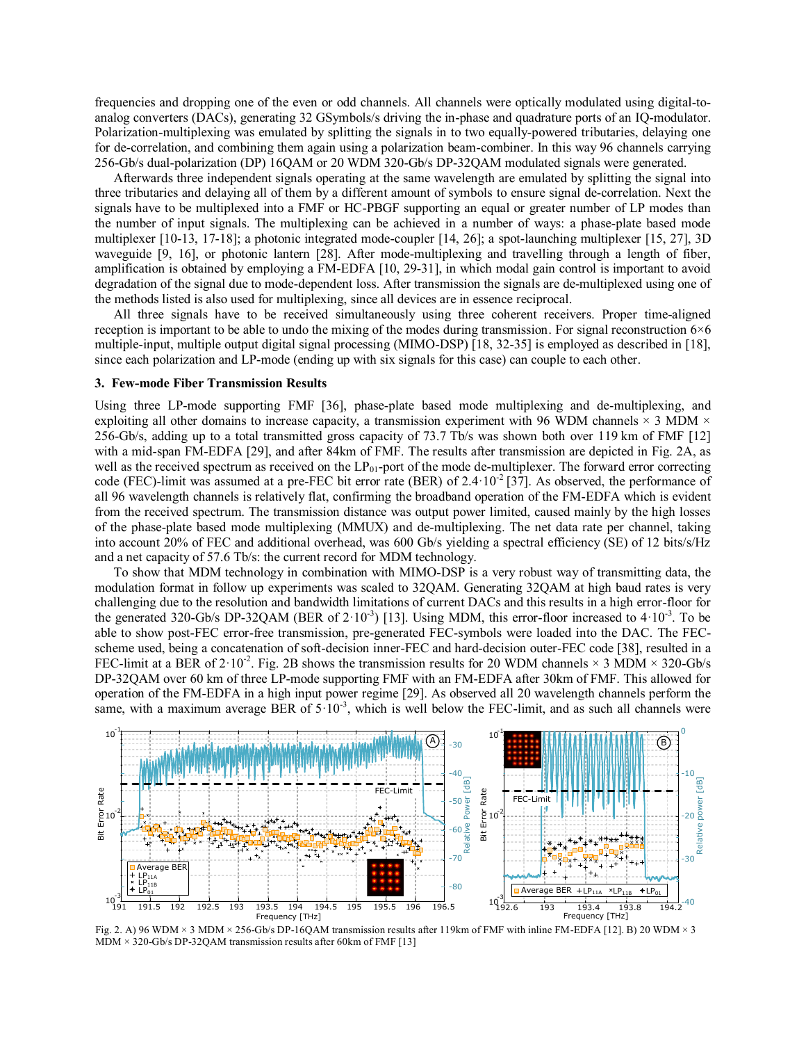frequencies and dropping one of the even or odd channels. All channels were optically modulated using digital-toanalog converters (DACs), generating 32 GSymbols/s driving the in-phase and quadrature ports of an IQ-modulator. Polarization-multiplexing was emulated by splitting the signals in to two equally-powered tributaries, delaying one for de-correlation, and combining them again using a polarization beam-combiner. In this way 96 channels carrying 256-Gb/s dual-polarization (DP) 16QAM or 20 WDM 320-Gb/s DP-32QAM modulated signals were generated.

Afterwards three independent signals operating at the same wavelength are emulated by splitting the signal into three tributaries and delaying all of them by a different amount of symbols to ensure signal de-correlation. Next the signals have to be multiplexed into a FMF or HC-PBGF supporting an equal or greater number of LP modes than the number of input signals. The multiplexing can be achieved in a number of ways: a phase-plate based mode multiplexer [10-13, 17-18]; a photonic integrated mode-coupler [14, 26]; a spot-launching multiplexer [15, 27], 3D waveguide [9, 16], or photonic lantern [28]. After mode-multiplexing and travelling through a length of fiber, amplification is obtained by employing a FM-EDFA [10, 29-31], in which modal gain control is important to avoid degradation of the signal due to mode-dependent loss. After transmission the signals are de-multiplexed using one of the methods listed is also used for multiplexing, since all devices are in essence reciprocal.

All three signals have to be received simultaneously using three coherent receivers. Proper time-aligned reception is important to be able to undo the mixing of the modes during transmission. For signal reconstruction  $6\times6$ multiple-input, multiple output digital signal processing (MIMO-DSP) [18, 32-35] is employed as described in [18], since each polarization and LP-mode (ending up with six signals for this case) can couple to each other.

# **3. Few-mode Fiber Transmission Results**

Using three LP-mode supporting FMF [36], phase-plate based mode multiplexing and de-multiplexing, and exploiting all other domains to increase capacity, a transmission experiment with 96 WDM channels  $\times$  3 MDM  $\times$ 256-Gb/s, adding up to a total transmitted gross capacity of 73.7 Tb/s was shown both over 119 km of FMF [12] with a mid-span FM-EDFA [29], and after 84km of FMF. The results after transmission are depicted in Fig. 2A, as well as the received spectrum as received on the LP<sub>01</sub>-port of the mode de-multiplexer. The forward error correcting code (FEC)-limit was assumed at a pre-FEC bit error rate (BER) of 2.4 $\cdot$ 10<sup>-2</sup> [37]. As observed, the performance of all 96 wavelength channels is relatively flat, confirming the broadband operation of the FM-EDFA which is evident from the received spectrum. The transmission distance was output power limited, caused mainly by the high losses of the phase-plate based mode multiplexing (MMUX) and de-multiplexing. The net data rate per channel, taking into account 20% of FEC and additional overhead, was 600 Gb/s yielding a spectral efficiency (SE) of 12 bits/s/Hz and a net capacity of 57.6 Tb/s: the current record for MDM technology.

To show that MDM technology in combination with MIMO-DSP is a very robust way of transmitting data, the modulation format in follow up experiments was scaled to 32QAM. Generating 32QAM at high baud rates is very challenging due to the resolution and bandwidth limitations of current DACs and this results in a high error-floor for the generated 320-Gb/s DP-32QAM (BER of  $2 \cdot 10^{-3}$ ) [13]. Using MDM, this error-floor increased to  $4 \cdot 10^{-3}$ . To be able to show post-FEC error-free transmission, pre-generated FEC-symbols were loaded into the DAC. The FECscheme used, being a concatenation of soft-decision inner-FEC and hard-decision outer-FEC code [38], resulted in a FEC-limit at a BER of  $2 \cdot 10^{-2}$ . Fig. 2B shows the transmission results for 20 WDM channels  $\times$  3 MDM  $\times$  320-Gb/s DP-32QAM over 60 km of three LP-mode supporting FMF with an FM-EDFA after 30km of FMF. This allowed for operation of the FM-EDFA in a high input power regime [29]. As observed all 20 wavelength channels perform the same, with a maximum average BER of  $5 \cdot 10^{-3}$ , which is well below the FEC-limit, and as such all channels were



Fig. 2. A) 96 WDM × 3 MDM × 256-Gb/s DP-16QAM transmission results after 119km of FMF with inline FM-EDFA [12]. B) 20 WDM × 3  $MDM \times 320-Gb/s$  DP-32QAM transmission results after 60km of FMF [13]